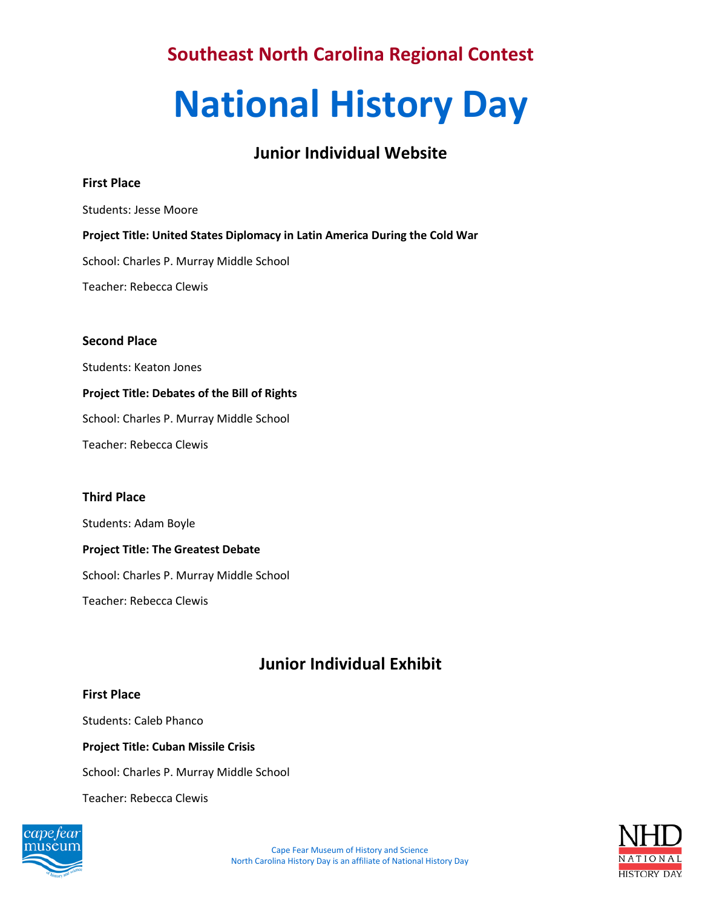# **National History Day**

# **Junior Individual Website**

## **First Place**

Students: Jesse Moore

## **Project Title: United States Diplomacy in Latin America During the Cold War**

School: Charles P. Murray Middle School

Teacher: Rebecca Clewis

## **Second Place**

Students: Keaton Jones

## **Project Title: Debates of the Bill of Rights**

School: Charles P. Murray Middle School

Teacher: Rebecca Clewis

## **Third Place**

Students: Adam Boyle

## **Project Title: The Greatest Debate**

School: Charles P. Murray Middle School

Teacher: Rebecca Clewis

# **Junior Individual Exhibit**

## **First Place**

Students: Caleb Phanco

## **Project Title: Cuban Missile Crisis**

School: Charles P. Murray Middle School

Teacher: Rebecca Clewis



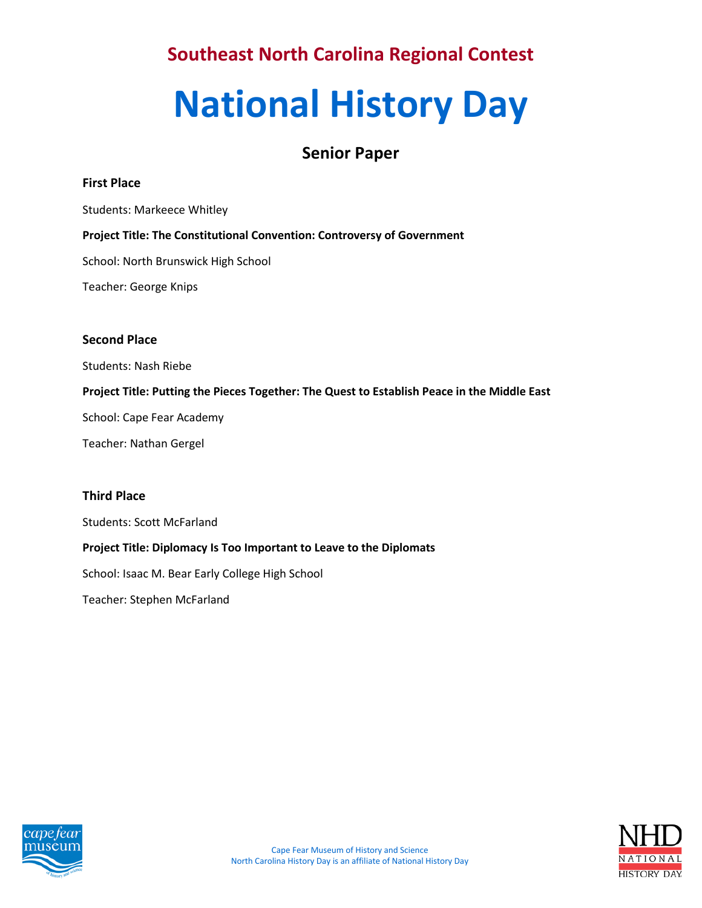# **National History Day**

## **Senior Paper**

## **First Place**

Students: Markeece Whitley

## **Project Title: The Constitutional Convention: Controversy of Government**

School: North Brunswick High School

Teacher: George Knips

## **Second Place**

Students: Nash Riebe

## **Project Title: Putting the Pieces Together: The Quest to Establish Peace in the Middle East**

School: Cape Fear Academy

Teacher: Nathan Gergel

## **Third Place**

Students: Scott McFarland

## **Project Title: Diplomacy Is Too Important to Leave to the Diplomats**

School: Isaac M. Bear Early College High School

Teacher: Stephen McFarland



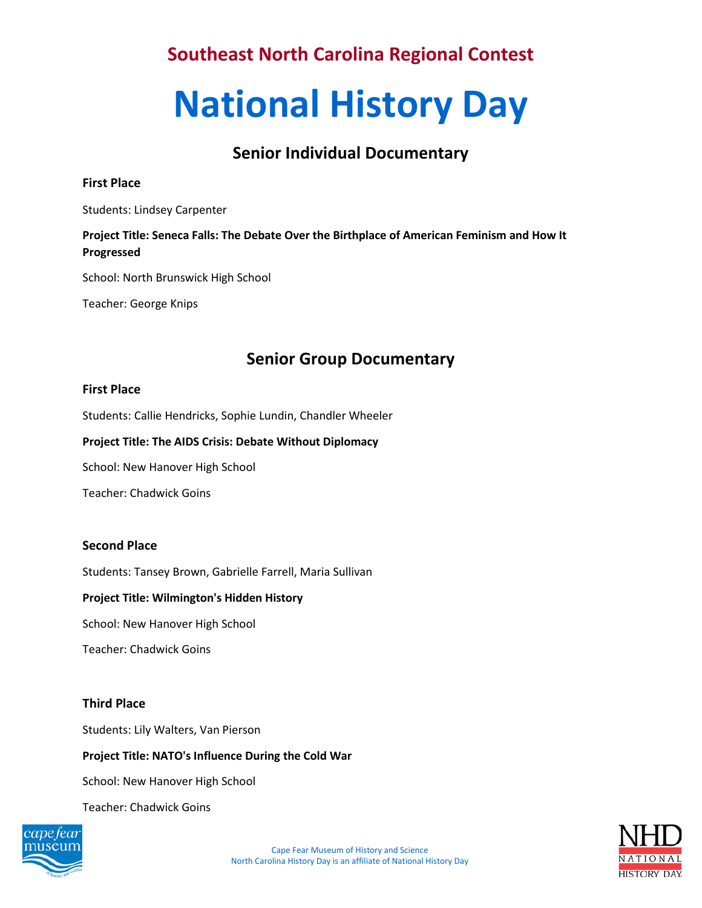# **National History Day**

# **Senior Individual Documentary**

## **First Place**

Students: Lindsey Carpenter

## **Project Title: Seneca Falls: The Debate Over the Birthplace of American Feminism and How It Progressed**

School: North Brunswick High School

Teacher: George Knips

# **Senior Group Documentary**

## **First Place**

Students: Callie Hendricks, Sophie Lundin, Chandler Wheeler

#### **Project Title: The AIDS Crisis: Debate Without Diplomacy**

School: New Hanover High School

Teacher: Chadwick Goins

## **Second Place**

Students: Tansey Brown, Gabrielle Farrell, Maria Sullivan

## **Project Title: Wilmington's Hidden History**

School: New Hanover High School

Teacher: Chadwick Goins

## **Third Place**

Students: Lily Walters, Van Pierson

**Project Title: NATO's Influence During the Cold War**

School: New Hanover High School

Teacher: Chadwick Goins



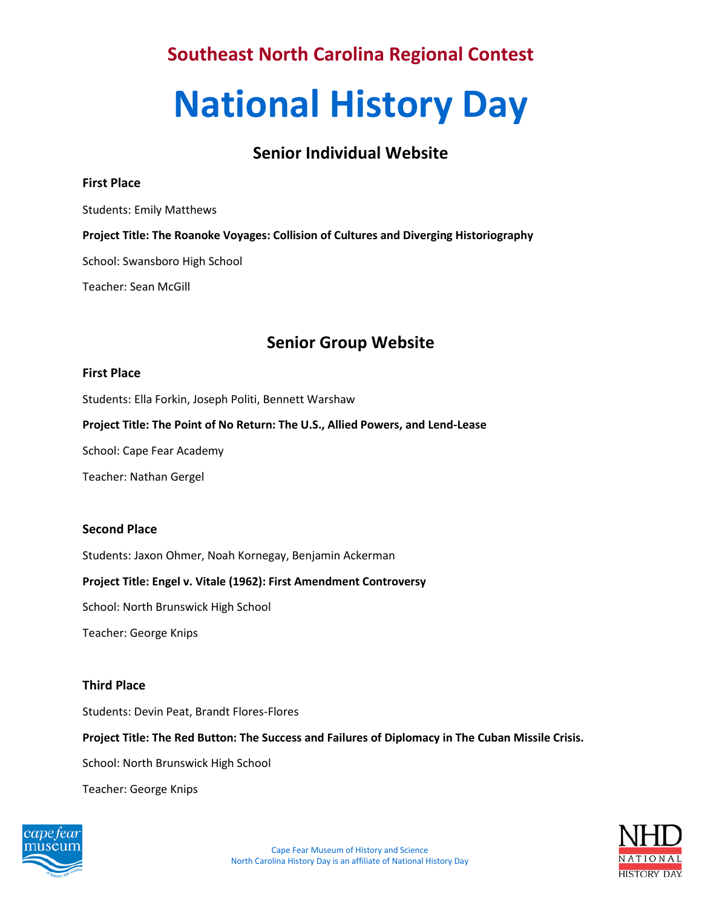# **National History Day**

## **Senior Individual Website**

## **First Place**

Students: Emily Matthews

**Project Title: The Roanoke Voyages: Collision of Cultures and Diverging Historiography**

School: Swansboro High School

Teacher: Sean McGill

## **Senior Group Website**

## **First Place**

Students: Ella Forkin, Joseph Politi, Bennett Warshaw

**Project Title: The Point of No Return: The U.S., Allied Powers, and Lend-Lease**

School: Cape Fear Academy

Teacher: Nathan Gergel

## **Second Place**

Students: Jaxon Ohmer, Noah Kornegay, Benjamin Ackerman

## **Project Title: Engel v. Vitale (1962): First Amendment Controversy**

School: North Brunswick High School

Teacher: George Knips

## **Third Place**

Students: Devin Peat, Brandt Flores-Flores

**Project Title: The Red Button: The Success and Failures of Diplomacy in The Cuban Missile Crisis.** 

School: North Brunswick High School

Teacher: George Knips



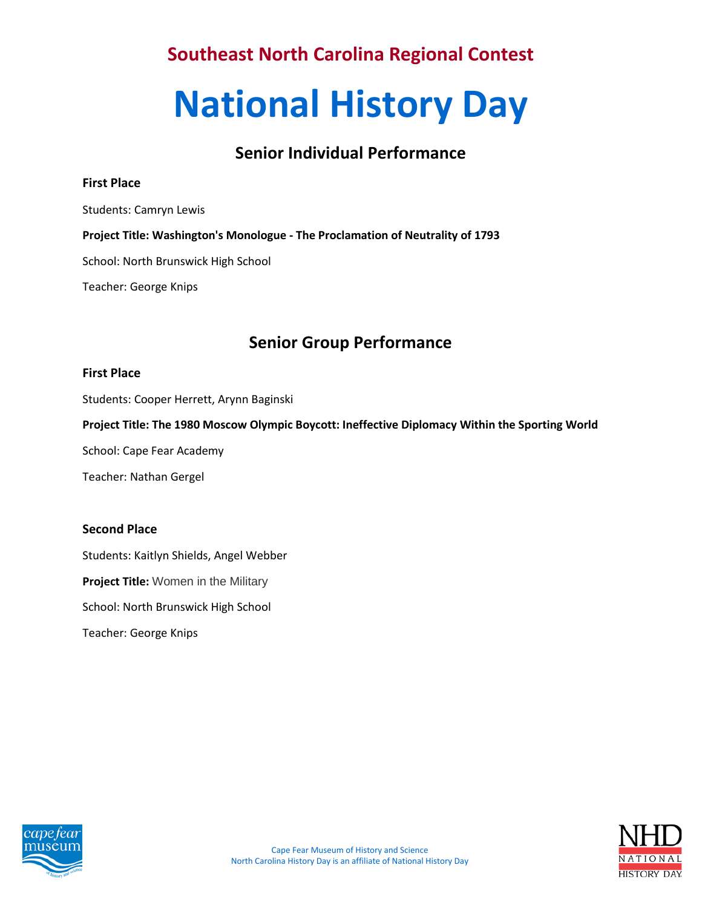# **National History Day**

## **Senior Individual Performance**

## **First Place**

Students: Camryn Lewis

**Project Title: Washington's Monologue - The Proclamation of Neutrality of 1793**

School: North Brunswick High School

Teacher: George Knips

## **Senior Group Performance**

#### **First Place**

Students: Cooper Herrett, Arynn Baginski

**Project Title: The 1980 Moscow Olympic Boycott: Ineffective Diplomacy Within the Sporting World**

School: Cape Fear Academy

Teacher: Nathan Gergel

## **Second Place**

Students: Kaitlyn Shields, Angel Webber **Project Title:** Women in the Military School: North Brunswick High School Teacher: George Knips



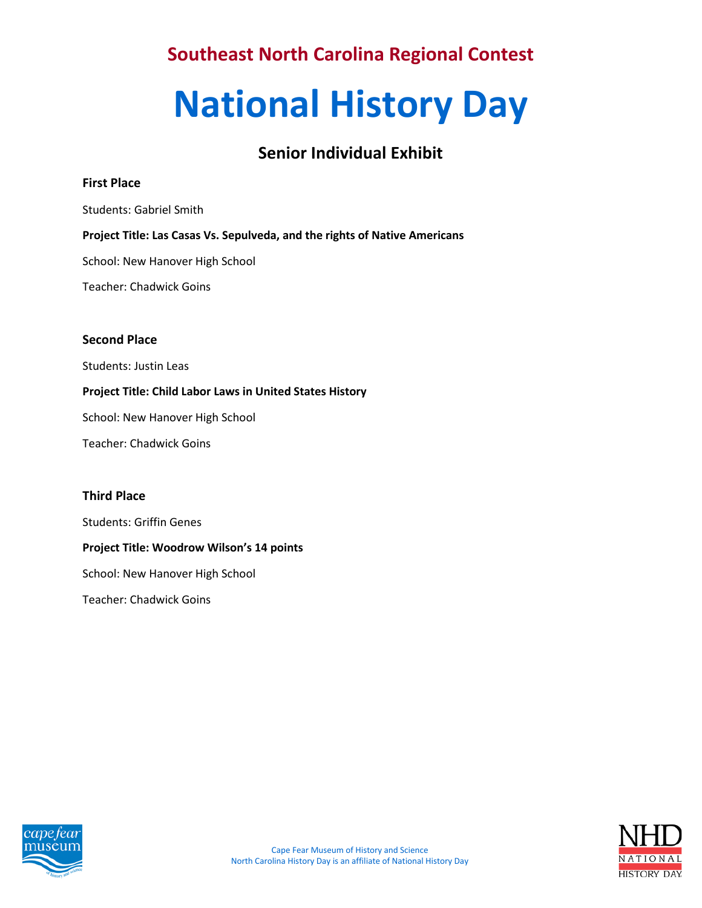# **National History Day**

# **Senior Individual Exhibit**

## **First Place**

Students: Gabriel Smith

## **Project Title: Las Casas Vs. Sepulveda, and the rights of Native Americans**

School: New Hanover High School

Teacher: Chadwick Goins

## **Second Place**

Students: Justin Leas

## **Project Title: Child Labor Laws in United States History**

School: New Hanover High School

Teacher: Chadwick Goins

## **Third Place**

Students: Griffin Genes

## **Project Title: Woodrow Wilson's 14 points**

School: New Hanover High School

Teacher: Chadwick Goins